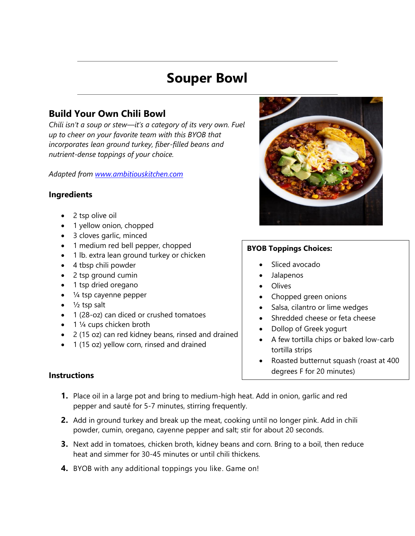# **Souper Bowl**

## **Build Your Own Chili Bowl**

*Chili isn't a soup or stew—it's a category of its very own. Fuel up to cheer on your favorite team with this BYOB that incorporates lean ground turkey, fiber-filled beans and nutrient-dense toppings of your choice.*

*Adapted from [www.ambitiouskitchen.com](http://www.ambitiouskitchen.com/)*

#### **Ingredients**

- 2 tsp olive oil
- 1 yellow onion, chopped
- 3 cloves garlic, minced
- 1 medium red bell pepper, chopped
- 1 lb. extra lean ground turkey or chicken
- 4 tbsp chili powder
- 2 tsp ground cumin
- 1 tsp dried oregano
- 1/4 tsp cayenne pepper
- $\bullet$   $\frac{1}{2}$  tsp salt
- 1 (28-oz) can diced or crushed tomatoes
- $\bullet$  1  $\frac{1}{4}$  cups chicken broth
- 2 (15 oz) can red kidney beans, rinsed and drained
- 1 (15 oz) yellow corn, rinsed and drained



### **BYOB Toppings Choices:**

- Sliced avocado
- Jalapenos
- Olives
- Chopped green onions
- Salsa, cilantro or lime wedges
- Shredded cheese or feta cheese
- Dollop of Greek yogurt
- A few tortilla chips or baked low-carb tortilla strips
- Roasted butternut squash (roast at 400 degrees F for 20 minutes)

### **Instructions**

- **1.** Place oil in a large pot and bring to medium-high heat. Add in onion, garlic and red pepper and sauté for 5-7 minutes, stirring frequently.
- **2.** Add in ground turkey and break up the meat, cooking until no longer pink. Add in chili powder, cumin, oregano, cayenne pepper and salt; stir for about 20 seconds.
- **3.** Next add in tomatoes, chicken broth, kidney beans and corn. Bring to a boil, then reduce heat and simmer for 30-45 minutes or until chili thickens.
- **4.** BYOB with any additional toppings you like. Game on!